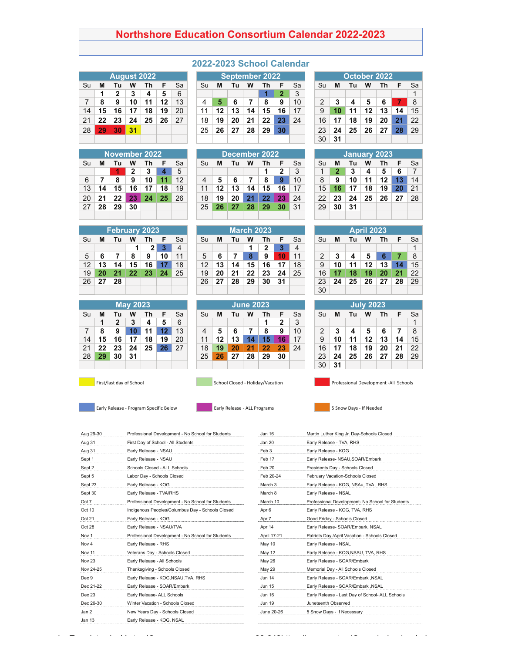## **Northshore Education Consortium Calendar 2022-2023**

|    |    |              | <b>August 2022</b> |    |    |    |
|----|----|--------------|--------------------|----|----|----|
| Su | М  | Τu           | w                  | Th | F  | Sa |
|    | 1  | $\mathbf{2}$ | 3                  | 4  | 5  | 6  |
| 7  | 8  | 9            | 10                 | 11 | 12 | 13 |
| 14 | 15 | 16           | 17                 | 18 | 19 | 20 |
| 21 | 22 | 23           | 24                 | 25 | 26 | 27 |
| 28 | 29 | 30           | 31                 |    |    |    |
|    |    |              |                    |    |    |    |

|    |    |    |    | November 2022 |    |                 |
|----|----|----|----|---------------|----|-----------------|
| Su | М  | Τu | w  | Τh            | F  | Sa              |
|    |    |    | 2  | 3             | 4  | $5\overline{5}$ |
| 6  | 7  | 8  | 9  | 10            | 11 | 12              |
| 13 | 14 | 15 | 16 | 17            | 18 | 19              |
| 20 | 21 | 22 | 23 | 24            | 25 | 26              |
| 27 | 28 | 29 | 30 |               |    |                 |
|    |    |    |    |               |    |                 |

Su **M Tu W Th F** Sa Su **M Tu W Th F** Sa Su **M Tu W Th F** Sa

26 **27 28** 26 **27 28 29 30 31** 23 **24 25 26 27 28** 29

5 **6 7 8 9 10** 11 5 **6 7 8 9 10** 11 2 **3 4 5 6 7** 8 12 **13 14 15 16 17** 18 12 **13 14 15 16 17** 18 9 **10 11 12 13 14** 15

## **2022-2023 School Calendar**

|                |    | <b>August 2022</b> |     |    |    |    |    | <b>September 2022</b> |    |    |    |    |    |               |    | October 2022 |    |    |    |     |
|----------------|----|--------------------|-----|----|----|----|----|-----------------------|----|----|----|----|----|---------------|----|--------------|----|----|----|-----|
| Su             | М  | Гυ                 | w   | Τh |    | Sa | Su | M                     | Τu | W  | Th |    | Sa | Su            | M  | Τu           | w  | Th | F  | -Sa |
|                |    | າ                  | 3   | 4  | 5. | 6  |    |                       |    |    |    | 2  | 3  |               |    |              |    |    |    |     |
| $\overline{7}$ | 8  | 9                  | 10  | 11 | 12 | 13 | 4  |                       |    |    | 8  | 9  | 10 | $\mathcal{P}$ | 3  |              | 5  |    |    | -8  |
| 14             | 15 | 16                 |     | 18 | 19 | 20 | 11 | 12                    | 13 | 14 | 15 | 16 | 17 |               |    | 11           | 12 | 13 | 14 | 15  |
| 21             | 22 | 23                 | 24  | 25 | 26 | 27 | 18 | 19                    | 20 | 21 | 22 | 23 | 24 | 16            |    | 18           | 19 | 20 | 21 | 22  |
| 28 I           | 29 | 30                 | -31 |    |    |    | 25 | 26                    | 27 | 28 | 29 | 30 |    | 23            | 24 | 25           | 26 | 27 | 28 | 29  |
|                |    |                    |     |    |    |    |    |                       |    |    |    |    |    | 30            | 31 |              |    |    |    |     |

|    |    | November 2022 |    |    |    |    |    |    |    |    | December 2022 |                 |    |    |    | January 2023 |    |    |    |    |
|----|----|---------------|----|----|----|----|----|----|----|----|---------------|-----------------|----|----|----|--------------|----|----|----|----|
| Su | М  | IU            | w  | Τh |    | Sa | Su | М  | Тu | w  | Th            |                 | Sa | Su | м  | Τu           | W  |    | F  | Sa |
|    |    |               | ,  | 3  |    | 5  |    |    |    |    |               | 2               | 3  |    |    | 3            | 4  | 5  | 6  |    |
| 6  |    | 8             | 9  | 10 | 11 | 12 | 4  | 5  | 6  |    | 8             | 9               | 10 | 8  | 9  | 10           | 11 |    | 13 | 14 |
| 13 | 14 | 15            | 16 |    | 18 | 19 | 11 | 12 | 13 | 14 | 15            | 16              | 17 | 15 | 16 |              | 18 |    | 20 | 21 |
| 20 | 21 | 22            | 23 | 24 | 25 | 26 | 18 | 19 | 20 |    | 22            | 23 <sub>1</sub> | 24 | 22 | 23 | 24           | 25 | 26 | 27 | 28 |
| 27 | 28 | 29            | 30 |    |    |    | 25 | 26 | 27 | 28 | 29            | 30              | 31 | 29 | 30 | 31           |    |    |    |    |
|    |    |               |    |    |    |    |    |    |    |    |               |                 |    |    |    |              |    |    |    |    |

|   | v 2023 |    |    |    |    |    | <b>March 2023</b> |    |    |    |    |    |    | <b>April 2023</b> |    |    |    |
|---|--------|----|----|----|----|----|-------------------|----|----|----|----|----|----|-------------------|----|----|----|
|   | Τh     |    | Sa | Su | М  | Τu | W                 | Τh | F  | Sa | Su | М  | Τu | W                 | Τh | F  | Sε |
| 1 | 2      |    | 4  |    |    |    |                   | 2  |    | 4  |    |    |    |                   |    |    |    |
|   | 9      | 10 | 11 | 5  | 6  |    | 8                 | 9  | 10 | 11 | 2  | 3  | 4  | 5                 | 6  |    | 8  |
|   | 16     |    | 18 | 12 | 13 | 14 | 15                | 16 |    | 18 | 9  | 10 | 11 | 12                | 13 | 14 | 15 |
|   | 23     | 24 | 25 | 19 | 20 | 21 | 22                | 23 | 24 | 25 | 16 |    | 18 | 19                | 20 | 21 | 22 |
|   |        |    |    | 26 | 27 | 28 | 29                | 30 | 31 |    | 23 | 24 | 25 | 26                | 27 | 28 | 29 |
|   |        |    |    |    |    |    |                   |    |    |    | ٩Û |    |    |                   |    |    |    |

|    |    |              | <b>May 2023</b> |    |    |    |
|----|----|--------------|-----------------|----|----|----|
| Su | М  | Tu           | w               | Τh | F  | Sa |
|    | 1  | $\mathbf{2}$ | 3               | 4  | 5  | 6  |
| 7  | 8  | 9            | 10              | 11 | 12 | 13 |
| 14 | 15 | 16           | 17              | 18 | 19 | 20 |
| 21 | 22 | 23           | 24              | 25 | 26 | 27 |
| 28 | 29 | 30           | 31              |    |    |    |
|    |    |              |                 |    |    |    |

|    |    |    | <b>May 2023</b> |    |    |    |                |    |              | June 2023 |    |    |    |    |    |    | <b>July 2023</b> |    |    |    |
|----|----|----|-----------------|----|----|----|----------------|----|--------------|-----------|----|----|----|----|----|----|------------------|----|----|----|
| Su | М  |    | W               |    |    | Sa | Su             | M  | Тu           | w         |    |    | Sa | Su | M  | Τu | w                |    |    | Sa |
|    |    | 2  | 3               | 4  | 5  | 6  |                |    |              |           |    | 2  | 3  |    |    |    |                  |    |    |    |
| 7  | 8  | 9  |                 |    |    | 13 | $\overline{4}$ | 5  |              |           | 8  | 9  | 10 | っ  |    |    | 5                | 6  |    | 8  |
| 14 | 15 | 16 |                 | 18 | 19 | 20 | 11             | 12 | 13           |           |    |    | 17 | 9  |    |    | 12               |    | 14 | 15 |
| 21 | 22 | 23 | 24              | 25 | 26 | 27 | 18             | 19 | $20^{\circ}$ |           | 22 | 23 | 24 | 16 |    | 18 | 19               | 20 | 21 | 22 |
| 28 | 29 | 30 | 31              |    |    |    | 25             | 26 | 27           | 28        | 29 | 30 |    | 23 | 24 | 25 | 26               | 27 | 28 | 29 |
|    |    |    |                 |    |    |    |                |    |              |           |    |    |    |    |    |    |                  |    |    |    |

**February 2023**<br>**Tu W Th F** Sa



Aug 29-30 Professional Development - No School for Students Jan 16 Martin Luther King Jr. Day-Schools Closed Aug 31 First Day of School - All Students Jan 20 Jan 20 Early Release - TVA, RHS Aug 31 Early Release - NSAU Feb 3 Early Release - KOG Sept 1 **Early Release - NSAU** Sept 2 Schools Closed - ALL Schools Sept 5 Labor Day - Schools Closed Sept 23 Early Release - KOG Sept 30 **Early Release - TVA/RHS** Oct 7 Professional Development - No School for Students Oct 10 Indigenous Peoples/Columbus Day - Schools Closed Oct 21 Early Release - KOG Oct 28 Early Release - NSAU/TVA Nov 1 Professional Development - No School for Students Nov 4 **Early Release - RHS** Nov 11 Veterans Day - Schools Closed Nov 23 **Early Release - All Schools** Nov 24-25 Thanksgiving - Schools Closed Dec 9 Early Release - KOG,NSAU,TVA, RHS Dec 21-22 Early Release - SOAR/Embark Dec 23 **Early Release- ALL Schools Dec 23** Dec 26-30 Winter Vacation - Schools Closed Jan 2 New Years Day - Schools Closed Jan 13 Early Release - KOG, NSAL

| Feb 17        | Early Release- NSAU, SOAR/Embark                 |
|---------------|--------------------------------------------------|
| Feb 20        | Presidents Day - Schools Closed                  |
| Feb 20-24     | February Vacation-Schools Closed                 |
| March 3       | Early Release - KOG, NSAu, TVA, RHS              |
| March 8       | Early Release - NSAL                             |
| March 10      | Professional Development- No School for Students |
| Apr 6         | Early Release - KOG, TVA, RHS                    |
| Apr 7         | Good Friday - Schools Closed                     |
| Apr 14        | Early Release- SOAR/Embark, NSAL                 |
| April 17-21   | Patriots Day /April Vacation - Schools Closed    |
| May 10        | Early Release - NSAL                             |
| May 12        | Early Release - KOG, NSAU, TVA, RHS              |
| May 26        | Early Release - SOAR/Embark                      |
| May 29        | Memorial Day - All Schools Closed                |
| <b>Jun 14</b> | Early Release - SOAR/Embark , NSAL               |
| <b>Jun 15</b> | Early Release - SOAR/Embark , NSAL               |
| <b>Jun 16</b> | Early Release - Last Day of School- ALL Schools  |
| <b>Jun 19</b> | Juneteenth Observed                              |
| June 20-26    | 5 Snow Days - If Necessary                       |
|               |                                                  |

|              |    |     |              | October 2022 |     |    |
|--------------|----|-----|--------------|--------------|-----|----|
| Su           | м  | Τu  | w            | Th           | F   | Sa |
|              |    |     |              |              |     | 1  |
| $\mathbf{2}$ | 3  | 4   | 5            | 6            |     | 8  |
| 9            | 10 | 11  | 12           | 13           | 14  | 15 |
| 16           | 17 | 18  | 19           | 20           | 21  | 22 |
| 23           | 24 | -25 | $26 \mid 27$ |              | -28 | 29 |
| 30           | 31 |     |              |              |     |    |

|    |              | January 2023 |    |    |    |    |
|----|--------------|--------------|----|----|----|----|
| Su | М            | Τu           | w  | Th | F  | Sa |
| 1  | $\mathbf{2}$ | 3            | 4  | 5  | 6  | 7  |
| 8  | 9            | 10           | 11 | 12 | 13 | 14 |
| 15 | 16           | 17           | 18 | 19 | 20 | 21 |
| 22 | 23           | 24           | 25 | 26 | 27 | 28 |
| 29 | 30           | 31           |    |    |    |    |
|    |              |              |    |    |    |    |

|    |    |    | <b>April 2023</b> |    |    |    |
|----|----|----|-------------------|----|----|----|
| Su | М  | Tu | W                 | Th | F  | Sa |
|    |    |    |                   |    |    | 1  |
| 2  | 3  | 4  | 5                 | 6  | 7  | 8  |
| 9  | 10 | 11 | 12                | 13 | 14 | 15 |
| 16 | 17 | 18 | 19                | 20 | 21 | 22 |
| 23 | 24 | 25 | 26                | 27 | 28 | 29 |
| 30 |    |    |                   |    |    |    |

|     |    | May 2023 |    |    |    |    |    |    | <b>June 2023</b> |    |    |    |    |    |    | July 2023 |    |    |    |
|-----|----|----------|----|----|----|----|----|----|------------------|----|----|----|----|----|----|-----------|----|----|----|
| M   | Τu | w        |    | F  | Sa | Su | М  | Τu | W                | Τh |    | Sa | Su | M  | Τu | W         | Τh |    | Sa |
| 1   | 2  | з        | 4  | 5  | 6  |    |    |    |                  |    | 2  | 3  |    |    |    |           |    |    |    |
| 8   | 9  |          |    | 12 | 13 |    | 5  | 6  |                  | 8  | 9  | 10 | ⌒  | 3  | 4  | 5         | 6  |    | 8  |
| 15  | 16 |          | 18 | 19 | 20 | 11 | 12 | 13 | 14               | 15 | 16 | 17 | 9  | 10 | 11 | 12        | 13 |    | 15 |
| 22. | 23 | 24       | 25 | 26 | 27 | 18 | 19 | 20 | 21               | 22 | 23 | 24 | 16 |    | 18 | 19        | 20 | 21 | 22 |
| 29  | 30 | 31       |    |    |    | 25 | 26 | 27 | 28               | 29 | 30 |    | 23 | 24 | 25 | 26        | 27 | 28 | 29 |
|     |    |          |    |    |    |    |    |    |                  |    |    |    | 30 | 31 |    |           |    |    |    |

First/last day of School School School Closed - Holiday/Vacation Professional Development -All Schools

- 
-